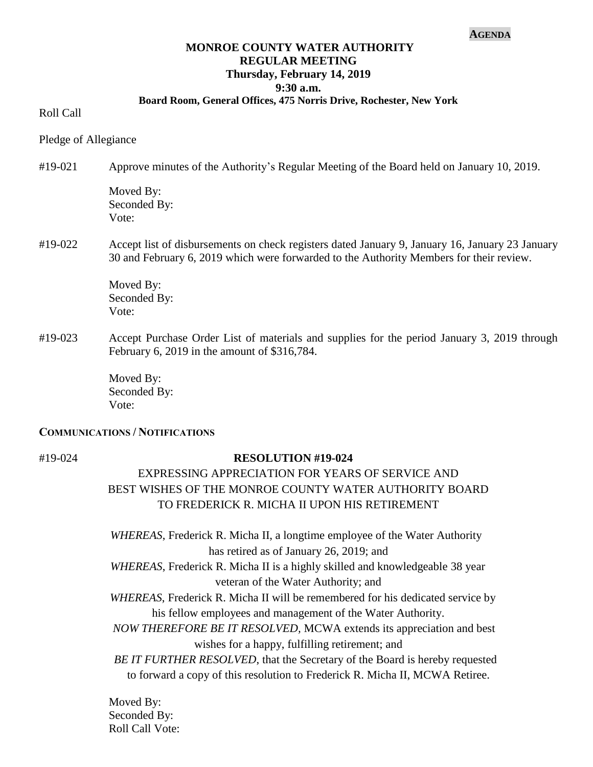#### **AGENDA**

### **MONROE COUNTY WATER AUTHORITY REGULAR MEETING Thursday, February 14, 2019 9:30 a.m.**

#### **Board Room, General Offices, 475 Norris Drive, Rochester, New York**

Roll Call

Pledge of Allegiance

#19-021 Approve minutes of the Authority's Regular Meeting of the Board held on January 10, 2019.

Moved By: Seconded By: Vote:

#19-022 Accept list of disbursements on check registers dated January 9, January 16, January 23 January 30 and February 6, 2019 which were forwarded to the Authority Members for their review.

> Moved By: Seconded By: Vote:

#19-023 Accept Purchase Order List of materials and supplies for the period January 3, 2019 through February 6, 2019 in the amount of \$316,784.

> Moved By: Seconded By: Vote:

#### **COMMUNICATIONS / NOTIFICATIONS**

### #19-024 **RESOLUTION #19-024**

# EXPRESSING APPRECIATION FOR YEARS OF SERVICE AND BEST WISHES OF THE MONROE COUNTY WATER AUTHORITY BOARD TO FREDERICK R. MICHA II UPON HIS RETIREMENT

 *WHEREAS*, Frederick R. Micha II, a longtime employee of the Water Authority has retired as of January 26, 2019; and

- *WHEREAS*, Frederick R. Micha II is a highly skilled and knowledgeable 38 year veteran of the Water Authority; and
- *WHEREAS*, Frederick R. Micha II will be remembered for his dedicated service by his fellow employees and management of the Water Authority.
- *NOW THEREFORE BE IT RESOLVED,* MCWA extends its appreciation and best wishes for a happy, fulfilling retirement; and

 *BE IT FURTHER RESOLVED*, that the Secretary of the Board is hereby requested to forward a copy of this resolution to Frederick R. Micha II, MCWA Retiree.

Moved By: Seconded By: Roll Call Vote: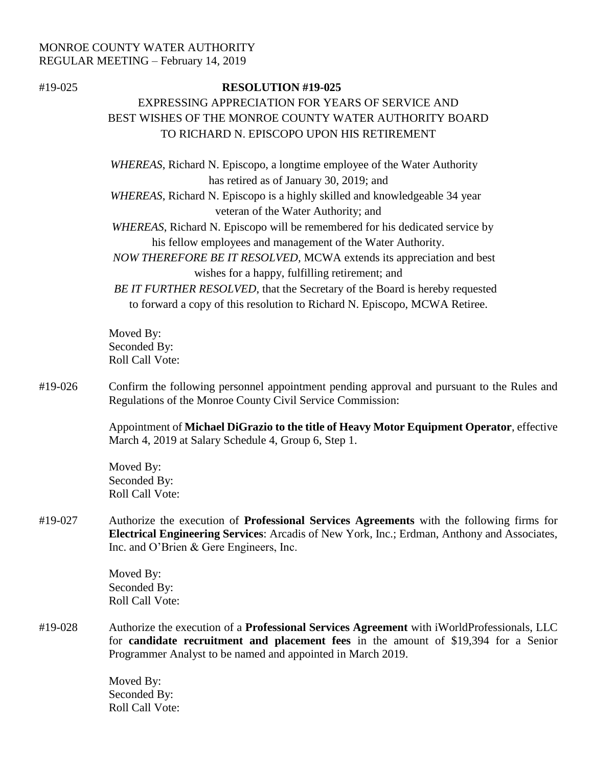# MONROE COUNTY WATER AUTHORITY REGULAR MEETING – February 14, 2019

### #19-025 **RESOLUTION #19-025**

# EXPRESSING APPRECIATION FOR YEARS OF SERVICE AND BEST WISHES OF THE MONROE COUNTY WATER AUTHORITY BOARD TO RICHARD N. EPISCOPO UPON HIS RETIREMENT

 *WHEREAS*, Richard N. Episcopo, a longtime employee of the Water Authority has retired as of January 30, 2019; and

 *WHEREAS*, Richard N. Episcopo is a highly skilled and knowledgeable 34 year veteran of the Water Authority; and

 *WHEREAS*, Richard N. Episcopo will be remembered for his dedicated service by his fellow employees and management of the Water Authority.

 *NOW THEREFORE BE IT RESOLVED,* MCWA extends its appreciation and best wishes for a happy, fulfilling retirement; and

 *BE IT FURTHER RESOLVED*, that the Secretary of the Board is hereby requested to forward a copy of this resolution to Richard N. Episcopo, MCWA Retiree.

Moved By: Seconded By: Roll Call Vote:

#19-026 Confirm the following personnel appointment pending approval and pursuant to the Rules and Regulations of the Monroe County Civil Service Commission:

> Appointment of **Michael DiGrazio to the title of Heavy Motor Equipment Operator**, effective March 4, 2019 at Salary Schedule 4, Group 6, Step 1.

Moved By: Seconded By: Roll Call Vote:

#19-027 Authorize the execution of **Professional Services Agreements** with the following firms for **Electrical Engineering Services**: Arcadis of New York, Inc.; Erdman, Anthony and Associates, Inc. and O'Brien & Gere Engineers, Inc.

> Moved By: Seconded By: Roll Call Vote:

#19-028 Authorize the execution of a **Professional Services Agreement** with iWorldProfessionals, LLC for **candidate recruitment and placement fees** in the amount of \$19,394 for a Senior Programmer Analyst to be named and appointed in March 2019.

> Moved By: Seconded By: Roll Call Vote: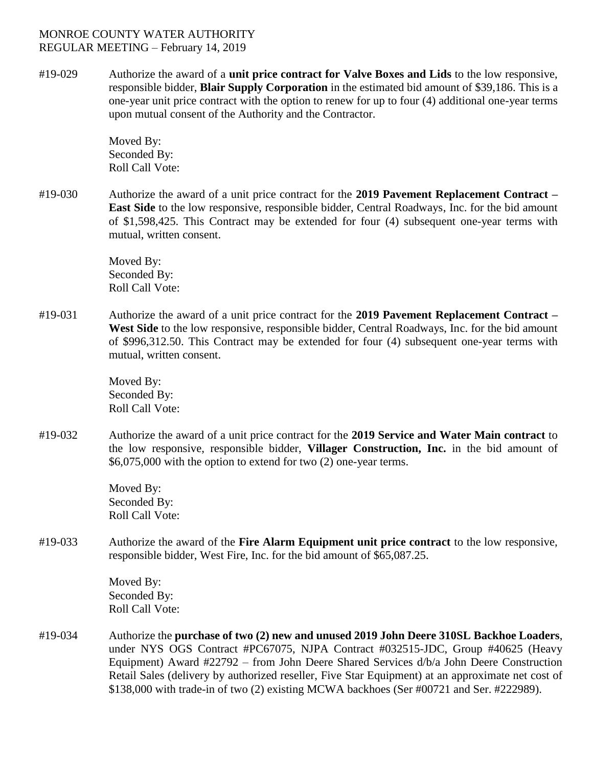## MONROE COUNTY WATER AUTHORITY REGULAR MEETING – February 14, 2019

#19-029 Authorize the award of a **unit price contract for Valve Boxes and Lids** to the low responsive, responsible bidder, **Blair Supply Corporation** in the estimated bid amount of \$39,186. This is a one-year unit price contract with the option to renew for up to four (4) additional one-year terms upon mutual consent of the Authority and the Contractor.

> Moved By: Seconded By: Roll Call Vote:

#19-030 Authorize the award of a unit price contract for the **2019 Pavement Replacement Contract – East Side** to the low responsive, responsible bidder, Central Roadways, Inc. for the bid amount of \$1,598,425. This Contract may be extended for four (4) subsequent one-year terms with mutual, written consent.

> Moved By: Seconded By: Roll Call Vote:

#19-031 Authorize the award of a unit price contract for the **2019 Pavement Replacement Contract – West Side** to the low responsive, responsible bidder, Central Roadways, Inc. for the bid amount of \$996,312.50. This Contract may be extended for four (4) subsequent one-year terms with mutual, written consent.

> Moved By: Seconded By: Roll Call Vote:

#19-032 Authorize the award of a unit price contract for the **2019 Service and Water Main contract** to the low responsive, responsible bidder, **Villager Construction, Inc.** in the bid amount of \$6,075,000 with the option to extend for two (2) one-year terms.

> Moved By: Seconded By: Roll Call Vote:

#19-033 Authorize the award of the **Fire Alarm Equipment unit price contract** to the low responsive, responsible bidder, West Fire, Inc. for the bid amount of \$65,087.25.

> Moved By: Seconded By: Roll Call Vote:

#19-034 Authorize the **purchase of two (2) new and unused 2019 John Deere 310SL Backhoe Loaders**, under NYS OGS Contract #PC67075, NJPA Contract #032515-JDC, Group #40625 (Heavy Equipment) Award #22792 – from John Deere Shared Services d/b/a John Deere Construction Retail Sales (delivery by authorized reseller, Five Star Equipment) at an approximate net cost of \$138,000 with trade-in of two (2) existing MCWA backhoes (Ser #00721 and Ser. #222989).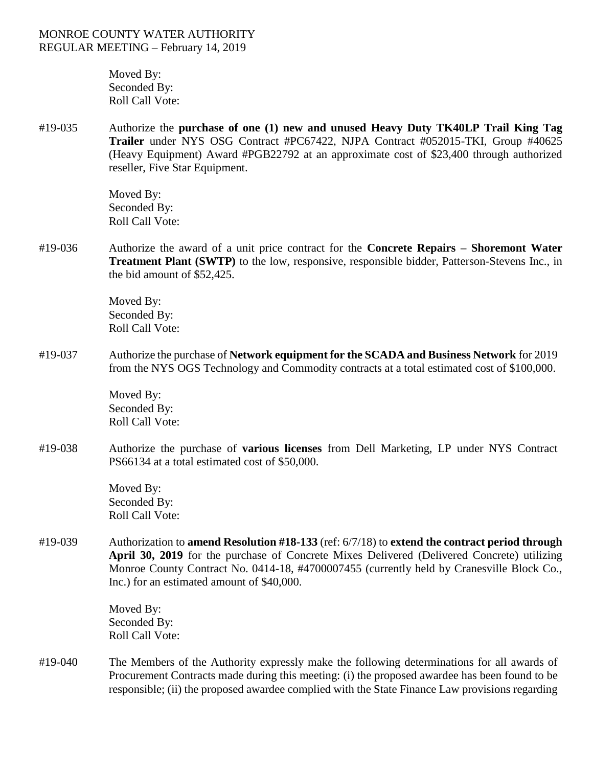Moved By: Seconded By: Roll Call Vote:

#19-035 Authorize the **purchase of one (1) new and unused Heavy Duty TK40LP Trail King Tag Trailer** under NYS OSG Contract #PC67422, NJPA Contract #052015-TKI, Group #40625 (Heavy Equipment) Award #PGB22792 at an approximate cost of \$23,400 through authorized reseller, Five Star Equipment.

> Moved By: Seconded By: Roll Call Vote:

#19-036 Authorize the award of a unit price contract for the **Concrete Repairs – Shoremont Water Treatment Plant (SWTP)** to the low, responsive, responsible bidder, Patterson-Stevens Inc., in the bid amount of \$52,425.

> Moved By: Seconded By: Roll Call Vote:

#19-037 Authorize the purchase of **Network equipment for the SCADA and Business Network** for 2019 from the NYS OGS Technology and Commodity contracts at a total estimated cost of \$100,000.

> Moved By: Seconded By: Roll Call Vote:

#19-038 Authorize the purchase of **various licenses** from Dell Marketing, LP under NYS Contract PS66134 at a total estimated cost of \$50,000.

> Moved By: Seconded By: Roll Call Vote:

#19-039 Authorization to **amend Resolution #18-133** (ref: 6/7/18) to **extend the contract period through April 30, 2019** for the purchase of Concrete Mixes Delivered (Delivered Concrete) utilizing Monroe County Contract No. 0414-18, #4700007455 (currently held by Cranesville Block Co., Inc.) for an estimated amount of \$40,000.

> Moved By: Seconded By: Roll Call Vote:

#19-040 The Members of the Authority expressly make the following determinations for all awards of Procurement Contracts made during this meeting: (i) the proposed awardee has been found to be responsible; (ii) the proposed awardee complied with the State Finance Law provisions regarding